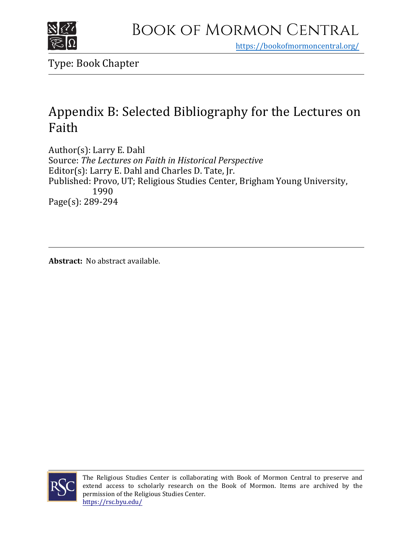

https[://bookofmormoncentral.org/](https://bookofmormoncentral.org/)

Type: Book Chapter

## Appendix B: Selected Bibliography for the Lectures on Faith

Author(s): Larry E. Dahl Source: *The Lectures on Faith in Historical Perspective* Editor(s): Larry E. Dahl and Charles D. Tate, Jr. Published: Provo, UT; Religious Studies Center, Brigham Young University, 1990 Page(s): 289-294

**Abstract:** No abstract available.



The Religious Studies Center is collaborating with Book of Mormon Central to preserve and extend access to scholarly research on the Book of Mormon. Items are archived by the permission of the Religious Studies Center. <https://rsc.byu.edu/>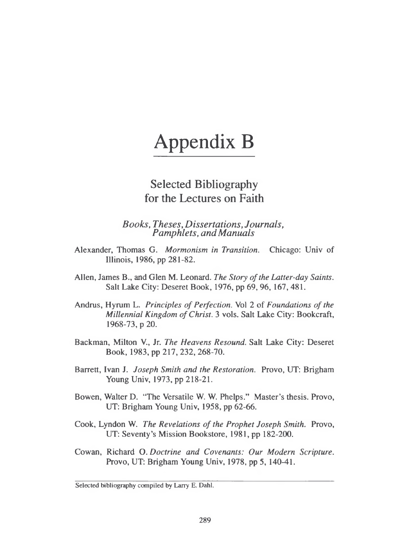# Appendix B

## Selected Bibliography for the Lectures on Faith

*Books, Theses, Dissertations, Journals, Pamphlets, andManuals*

- Alexander, Thomas G. *Mormonism in Transition.* Chicago: Univ of Illinois, 1986, pp 281-82.
- Allen, James B., and Glen M. Leonard. *The Story ofthe Latter-day Saints.* Salt Lake City: Deseret Book, 1976, pp 69, 96, 167, 481.
- Andrus, Hyrum L. *Principles ofPerfection.* Vol 2 of *Foundations of the Millennial Kingdom ofChrist.* 3 vols. Salt Lake City: Bookcraft, 1968-73, p 20.
- Backman, Milton V., Jr. *The Heavens Resound.* Salt Lake City: Deseret Book, 1983, pp 217, 232, 268-70.
- Barrett, Ivan J. *Joseph Smith and the Restoration.* Provo, UT: Brigham Young Univ, 1973, pp 218-21.
- Bowen, Walter D. "The Versatile W. W. Phelps." Master's thesis. Provo, UT: Brigham Young Univ, 1958, pp 62-66.
- Cook, Lyndon W. *The Revelations of the Prophet Joseph Smith.* Provo, UT: Seventy's Mission Bookstore, 1981, pp 182-200.
- Cowan, Richard O. *Doctrine and Covenants: Our Modern Scripture.* Provo, UT: Brigham Young Univ, 1978, pp 5, 140-41.

Selected bibliography compiled by Larry E. Dahl.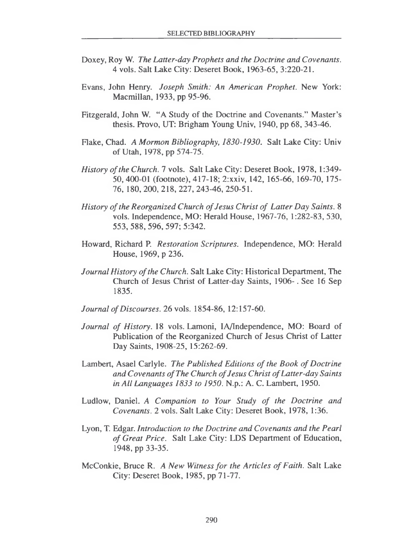- Doxey, Roy W. *The Latter-day Prophets and the Doctrine and Covenants.* 4 vols. Salt Lake City: Deseret Book, 1963-65, 3:220-21.
- Evans, John Henry. *Joseph Smith: An American Prophet.* New York: Macmillan, 1933, pp 95-96.
- Fitzgerald, John W. "A Study of the Doctrine and Covenants." Master's thesis. Provo, UT: Brigham Young Univ, 1940, pp 68, 343-46.
- Flake, Chad. *A Mormon Bibliography, 1830-1930.* Salt Lake City: Univ of Utah, 1978, pp 574-75.
- *History ofthe Church.* 7 vols. Salt Lake City: Deseret Book, 1978, 1:349- 50,400-01 (footnote), 417-18; 2:xxiv, 142, 165-66, 169-70, 175- 76, 180, 200, 218, 227, 243-46, 250-51.
- *History ofthe Reorganized Church ofJesus Christ of Latter Day Saints.* <sup>8</sup> vols. Independence, MO: Herald House, 1967-76, 1:282-83, 530, 553, 588, 596, 597; 5:342.
- Howard, Richard P. *Restoration Scriptures.* Independence, MO: Herald House, 1969, p 236.
- *Journal History ofthe Church.* Salt Lake City: Historical Department, The Church of Jesus Christ of Latter-day Saints, 1906-. See 16 Sep 1835.
- *Journal ofDiscourses.* 26 vols. 1854-86, 12:157-60.
- *Journal of History.* <sup>18</sup> vols. Lamoni, IA/Independence, MO: Board of Publication of the Reorganized Church of Jesus Christ of Latter Day Saints, 1908-25, 15:262-69.
- Lambert, Asael Carlyle. *The Published Editions ofthe Book ofDoctrine and Covenants ofThe Church ofJesus Christ ofLatter-day Saints in All Languages 1833 to 1950.* N.p.: A. C. Lambert, 1950.
- Ludlow, Daniel. *A Companion to Your Study of the Doctrine and Covenants.* 2 vols. Salt Lake City: Deseret Book, 1978, 1:36.
- Lyon, T. Edgar. *Introduction to the Doctrine and Covenants and the Pearl of Great Price.* Salt Lake City: LDS Department of Education, 1948, pp 33-35.
- McConkie, Bruce R. *A New Witnessfor the Articles ofFaith.* Salt Lake City: Deseret Book, 1985, pp 71-77.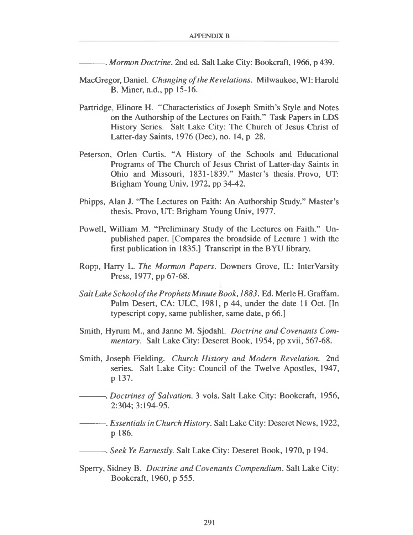*--------- . Mormon Doctrine.* 2nd ed. Salt Lake City: Bookcraft, 1966, p 439.

- MacGregor, Daniel. *Changing ofthe Revelations.* Milwaukee, WI: Harold B. Miner, n.d., pp 15-16.
- Partridge, Elinore H. "Characteristics of Joseph Smith's Style and Notes on the Authorship of the Lectures on Faith." Task Papers in LDS History Series. Salt Lake City: The Church of Jesus Christ of Latter-day Saints, 1976 (Dec), no. 14, p 28.
- Peterson, Orlen Curtis. "A History of the Schools and Educational Programs of The Church of Jesus Christ of Latter-day Saints in Ohio and Missouri, 1831-1839." Master's thesis. Provo, UT: Brigham Young Univ, 1972, pp 34-42.
- Phipps, Alan J. "The Lectures on Faith: An Authorship Study." Master's thesis. Provo, UT: Brigham Young Univ, 1977.
- Powell, William M. "Preliminary Study of the Lectures on Faith." Unpublished paper. [Compares the broadside of Lecture <sup>1</sup> with the first publication in 1835.] Transcript in the BYU library.
- Ropp, Harry L. *The Mormon Papers.* Downers Grove, IL: InterVarsity Press, 1977, pp 67-68.
- *SaltLake School ofthe Prophets Minute Book, 1883.* Ed. Merle H. Graffam. Palm Desert, CA: ULC, 1981, p 44, under the date 11 Oct. [In typescript copy, same publisher, same date, p 66.]
- Smith, Hyrum M., and Janne M. Sjodahl. *Doctrine and Covenants Commentary.* Salt Lake City: Deseret Book, 1954, pp xvii, 567-68.
- Smith, Joseph Fielding. *Church History and Modern Revelation.* 2nd series. Salt Lake City: Council of the Twelve Apostles, 1947, p 137.
- *----------. Doctrines of Salvation.* <sup>3</sup> vols. Salt Lake City: Bookcraft, 1956, 2:304; 3:194-95.
- *----------. Essentials in Church History.* Salt Lake City: Deseret News, 1922, p 186.
- *----------. Seek Ye Earnestly.* Salt Lake City: Deseret Book, 1970, p 194.
- Sperry, Sidney B. *Doctrine and Covenants Compendium.* Salt Lake City: Bookcraft, 1960, p 555.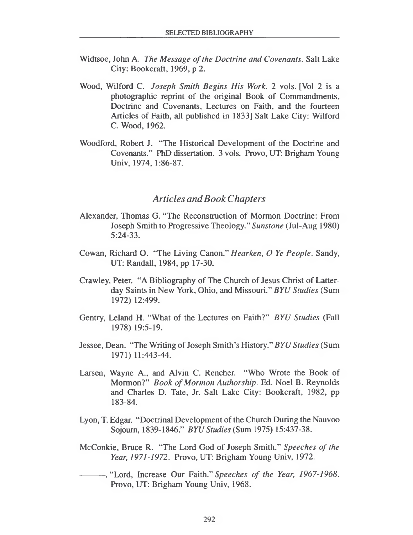- Widtsoe, John A. *The Message ofthe Doctrine and Covenants.* Salt Lake City: Bookcraft, 1969, p 2.
- Wood, Wilford C. *Joseph Smith Begins His Work. 2* vols. [Vol 2 is a photographic reprint of the original Book of Commandments, Doctrine and Covenants, Lectures on Faith, and the fourteen Articles of Faith, all published in 1833] Salt Lake City: Wilford C. Wood, 1962.
- Woodford, Robert J. "The Historical Development of the Doctrine and Covenants." PhD dissertation. 3 vols. Provo, UT: Brigham Young Univ, 1974, 1:86-87.

#### *Articles andBookChapters*

- Alexander, Thomas G. "The Reconstruction of Mormon Doctrine: From Joseph Smith to Progressive Theology." *Sunstone* (Jul-Aug 1980) 5:24-33.
- Cowan, Richard O. "The Living Canon." *Hearken, O Ye People.* Sandy, UT: Randall, 1984, pp 17-30.
- Crawley, Peter. "A Bibliography of The Church of Jesus Christ of Latterday Saints in New York, Ohio, and Missouri." *BYU Studies* (Sum 1972) 12:499.
- Gentry, Leland H. "What of the Lectures on Faith?" *BYU Studies* (Fall 1978) 19:5-19.
- Jessee, Dean. "The Writing of Joseph Smith's History." *BYU Studies* (Sum 1971) 11:443-44.
- Larsen, Wayne A., and Alvin C. Rencher. "Who Wrote the Book of Mormon?" *Book ofMormon Authorship.* Ed. Noel B. Reynolds and Charles D. Tate, Jr. Salt Lake City: Bookcraft, 1982, pp 183-84.
- Lyon, T. Edgar. "Doctrinal Development of the Church During the Nauvoo Sojourn, 1839-1846." *BYU Studies* (Sum 1975) 15:437-38.
- McConkie, Bruce R. "The Lord God of Joseph Smith." *Speeches of the Year, 1971-1972.* Provo, UT: Brigham Young Univ, 1972.
- --------- . "Lord, Increase Our Faith." *Speeches of the Year, 1967-1968.* Provo, UT: Brigham Young Univ, 1968.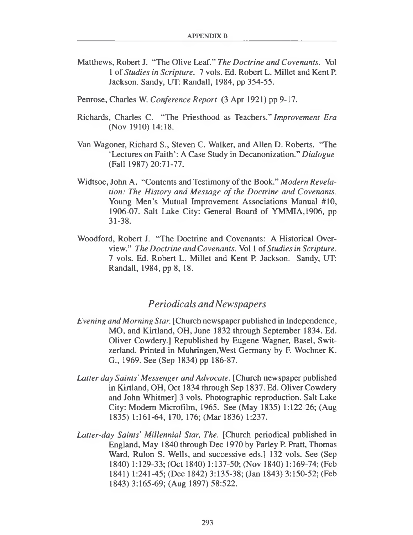- Matthews, Robert J. "The Olive Leaf." *The Doctrine and Covenants.* Vol <sup>1</sup> of *Studies in Scripture.* 7 vols. Ed. Robert L. Millet and Kent P. Jackson. Sandy, UT: Randall, 1984, pp 354-55.
- Penrose, Charles W. *Conference Report* (3 Apr 1921) pp 9-17.
- Richards, Charles C. "The Priesthood as Teachers." *Improvement Era* (Nov 1910) 14:18.
- Van Wagoner, Richard S., Steven C. Walker, and Allen D. Roberts. "The 'Lectures on Faith': A Case Study in Decanonization." *Dialogue* (Fall 1987) 20:71-77.
- Widtsoe, John A. "Contents and Testimony of the Book." *Modern Revelation: The History and Message of the Doctrine and Covenants.* Young Men's Mutual Improvement Associations Manual #10, 1906-07. Salt Lake City: General Board of YMMIA,1906, pp 31-38.
- Woodford, Robert J. "The Doctrine and Covenants: A Historical Overview." *The Doctrine andCovenants.* Vol <sup>1</sup> of*Studiesin Scripture.* 7 vols. Ed. Robert L. Millet and Kent P. Jackson. Sandy, UT: Randall, 1984, pp 8, 18.

### *Periodicals andNewspapers*

- *Evening and Morning Star.* [Church newspaper published in Independence, MO, and Kirtland, OH, June 1832 through September 1834. Ed. Oliver Cowdery.] Republished by Eugene Wagner, Basel, Switzerland. Printed in Muhringen,West Germany by F. Wochner K. G., 1969. See (Sep 1834) pp 186-87.
- *Latter day Saints' Messenger andAdvocate.* [Church newspaper published in Kirtland, OH, Oct 1834 through Sep 1837. Ed. Oliver Cowdery and John Whitmer] 3 vols. Photographic reproduction. Salt Lake City: Modem Microfilm, 1965. See (May 1835) 1:122-26; (Aug 1835) 1:161-64, 170, 176; (Mar 1836) 1:237.
- *Latter-day Saints' Millennial Star, The.* [Church periodical published in England, May 1840 through Dec 1970 by Parley P. Pratt, Thomas Ward, Rulon S. Wells, and successive eds.] 132 vols. See (Sep 1840) 1:129-33; (Oct 1840) 1:137-50; (Nov 1840) 1:169-74; (Feb 1841) 1:241-45; (Dec 1842) 3:135-38; (Jan 1843) 3:150-52; (Feb 1843) 3:165-69; (Aug 1897) 58:522.